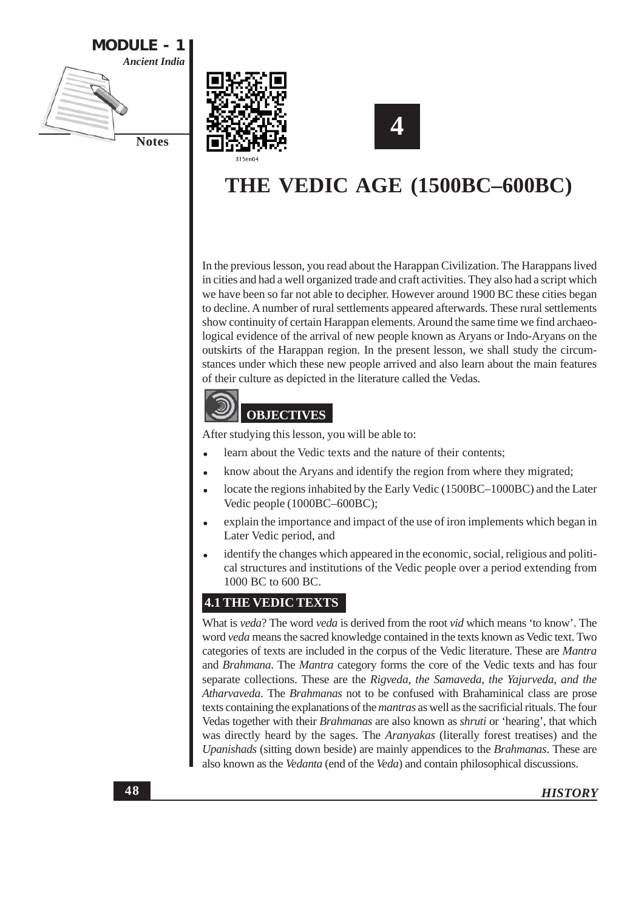





# THE VEDIC AGE (1500BC-600BC)

In the previous lesson, you read about the Harappan Civilization. The Harappans lived in cities and had a well organized trade and craft activities. They also had a script which we have been so far not able to decipher. However around 1900 BC these cities began to decline. A number of rural settlements appeared afterwards. These rural settlements show continuity of certain Harappan elements. Around the same time we find archaeological evidence of the arrival of new people known as Aryans or Indo-Aryans on the outskirts of the Harappan region. In the present lesson, we shall study the circumstances under which these new people arrived and also learn about the main features of their culture as depicted in the literature called the Vedas.



After studying this lesson, you will be able to:

- learn about the Vedic texts and the nature of their contents;
- know about the Aryans and identify the region from where they migrated;
- locate the regions inhabited by the Early Vedic (1500BC-1000BC) and the Later Vedic people (1000BC-600BC);
- explain the importance and impact of the use of iron implements which began in Later Vedic period, and
- identify the changes which appeared in the economic, social, religious and political structures and institutions of the Vedic people over a period extending from 1000 BC to 600 BC.

### **4.1 THE VEDIC TEXTS**

What is veda? The word veda is derived from the root vid which means 'to know'. The word veda means the sacred knowledge contained in the texts known as Vedic text. Two categories of texts are included in the corpus of the Vedic literature. These are Mantra and Brahmana. The Mantra category forms the core of the Vedic texts and has four separate collections. These are the Rigveda, the Samaveda, the Yajurveda, and the Atharvaveda. The Brahmanas not to be confused with Brahaminical class are prose texts containing the explanations of the mantras as well as the sacrificial rituals. The four Vedas together with their *Brahmanas* are also known as *shruti* or 'hearing', that which was directly heard by the sages. The *Aranyakas* (literally forest treatises) and the Upanishads (sitting down beside) are mainly appendices to the Brahmanas. These are also known as the *Vedanta* (end of the *Veda*) and contain philosophical discussions.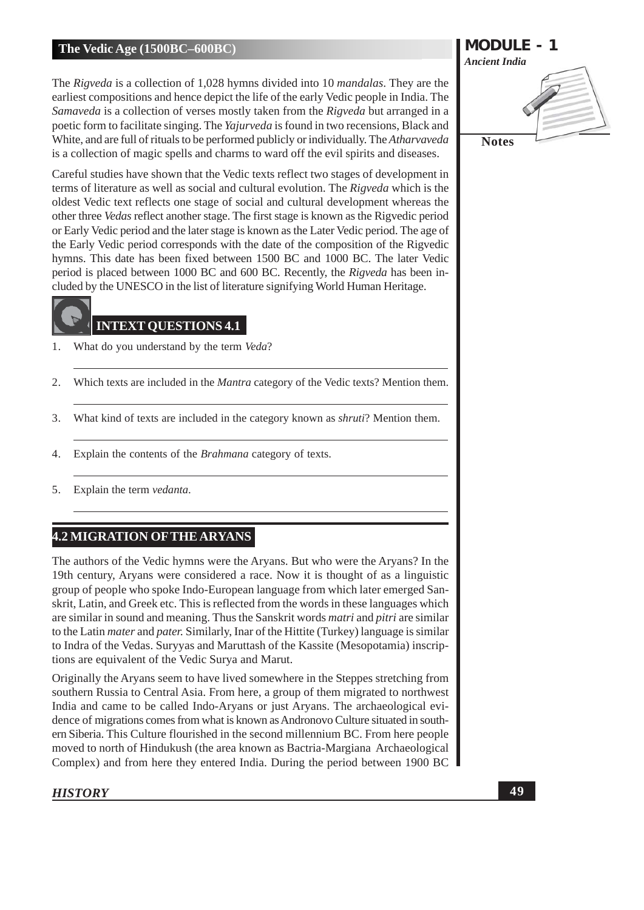The Rigveda is a collection of 1,028 hymns divided into 10 *mandalas*. They are the earliest compositions and hence depict the life of the early Vedic people in India. The Samaveda is a collection of verses mostly taken from the Rigveda but arranged in a poetic form to facilitate singing. The *Yajurveda* is found in two recensions, Black and White, and are full of rituals to be performed publicly or individually. The Atharyaveda is a collection of magic spells and charms to ward off the evil spirits and diseases.

Careful studies have shown that the Vedic texts reflect two stages of development in terms of literature as well as social and cultural evolution. The Rigveda which is the oldest Vedic text reflects one stage of social and cultural development whereas the other three *Vedas* reflect another stage. The first stage is known as the Rigvedic period or Early Vedic period and the later stage is known as the Later Vedic period. The age of the Early Vedic period corresponds with the date of the composition of the Rigvedic hymns. This date has been fixed between 1500 BC and 1000 BC. The later Vedic period is placed between 1000 BC and 600 BC. Recently, the Rigveda has been included by the UNESCO in the list of literature signifying World Human Heritage.

# **INTEXT OUESTIONS 4.1**

- 1. What do you understand by the term Veda?
- 2. Which texts are included in the *Mantra* category of the Vedic texts? Mention them.
- What kind of texts are included in the category known as shruti? Mention them. 3.
- Explain the contents of the *Brahmana* category of texts.  $4.$
- $5<sub>1</sub>$ Explain the term vedanta.

# **4.2 MIGRATION OF THE ARYANS**

The authors of the Vedic hymns were the Aryans. But who were the Aryans? In the 19th century, Aryans were considered a race. Now it is thought of as a linguistic group of people who spoke Indo-European language from which later emerged Sanskrit, Latin, and Greek etc. This is reflected from the words in these languages which are similar in sound and meaning. Thus the Sanskrit words *matri* and *pitri* are similar to the Latin *mater* and *pater*. Similarly, Inar of the Hittite (Turkey) language is similar to Indra of the Vedas. Survyas and Maruttash of the Kassite (Mesopotamia) inscriptions are equivalent of the Vedic Surya and Marut.

Originally the Aryans seem to have lived somewhere in the Steppes stretching from southern Russia to Central Asia. From here, a group of them migrated to northwest India and came to be called Indo-Aryans or just Aryans. The archaeological evidence of migrations comes from what is known as Andronovo Culture situated in southern Siberia. This Culture flourished in the second millennium BC. From here people moved to north of Hindukush (the area known as Bactria-Margiana Archaeological Complex) and from here they entered India. During the period between 1900 BC

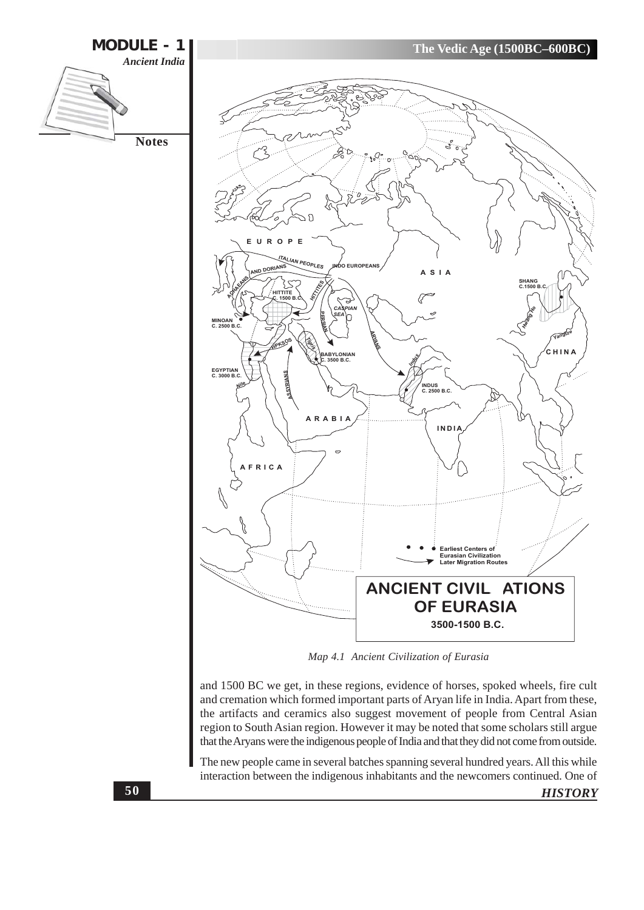![](_page_2_Figure_0.jpeg)

and 1500 BC we get, in these regions, evidence of horses, spoked wheels, fire cult and cremation which formed important parts of Aryan life in India. Apart from these, the artifacts and ceramics also suggest movement of people from Central Asian region to South Asian region. However it may be noted that some scholars still argue that the Aryans were the indigenous people of India and that they did not come from outside.

The new people came in several batches spanning several hundred years. All this while interaction between the indigenous inhabitants and the newcomers continued. One of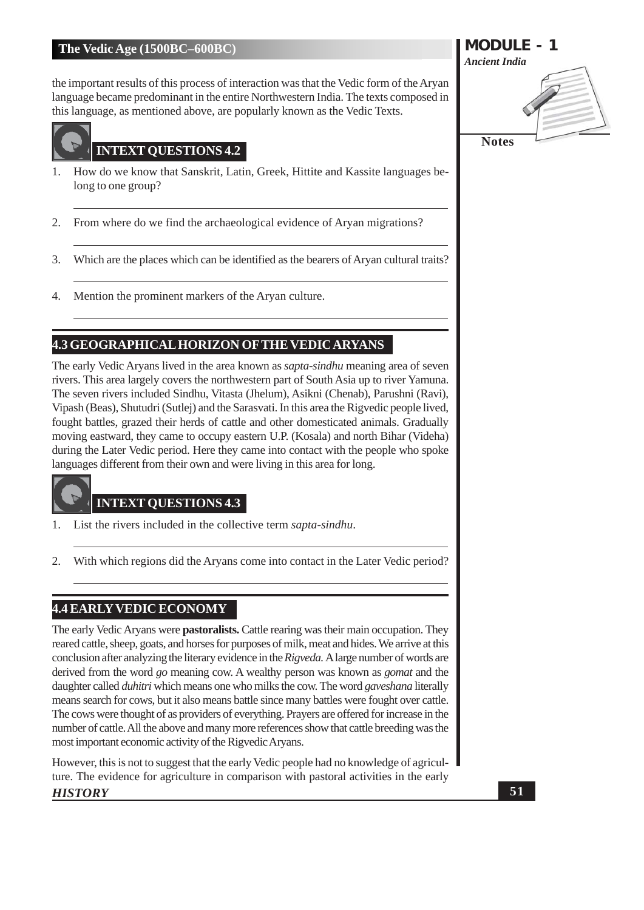the important results of this process of interaction was that the Vedic form of the Aryan language became predominant in the entire Northwestern India. The texts composed in this language, as mentioned above, are popularly known as the Vedic Texts.

![](_page_3_Picture_2.jpeg)

# **INTEXT QUESTIONS 4.2**

- How do we know that Sanskrit, Latin, Greek, Hittite and Kassite languages be-1. long to one group?
- From where do we find the archaeological evidence of Aryan migrations? 2.
- Which are the places which can be identified as the bearers of Aryan cultural traits? 3.
- Mention the prominent markers of the Aryan culture. 4.

# **4.3 GEOGRAPHICAL HORIZON OF THE VEDIC ARYANS**

The early Vedic Aryans lived in the area known as *sapta-sindhu* meaning area of seven rivers. This area largely covers the northwestern part of South Asia up to river Yamuna. The seven rivers included Sindhu, Vitasta (Jhelum), Asikni (Chenab), Parushni (Ravi), Vipash (Beas), Shutudri (Sutlej) and the Sarasvati. In this area the Rigvedic people lived, fought battles, grazed their herds of cattle and other domesticated animals. Gradually moving eastward, they came to occupy eastern U.P. (Kosala) and north Bihar (Videha) during the Later Vedic period. Here they came into contact with the people who spoke languages different from their own and were living in this area for long.

#### **INTEXT QUESTIONS 4.3**

- List the rivers included in the collective term sapta-sindhu.  $\mathbf{1}$ .
- 2. With which regions did the Aryans come into contact in the Later Vedic period?

# **4.4 EARLY VEDIC ECONOMY**

The early Vedic Aryans were pastoralists. Cattle rearing was their main occupation. They reared cattle, sheep, goats, and horses for purposes of milk, meat and hides. We arrive at this conclusion after analyzing the literary evidence in the Rigveda. A large number of words are derived from the word *go* meaning cow. A wealthy person was known as *gomat* and the daughter called *duhitri* which means one who milks the cow. The word *gaveshana* literally means search for cows, but it also means battle since many battles were fought over cattle. The cows were thought of as providers of everything. Prayers are offered for increase in the number of cattle. All the above and many more references show that cattle breeding was the most important economic activity of the Rigvedic Aryans.

However, this is not to suggest that the early Vedic people had no knowledge of agriculture. The evidence for agriculture in comparison with pastoral activities in the early **HISTORY** 

# **MODULE - 1 Ancient India Notes**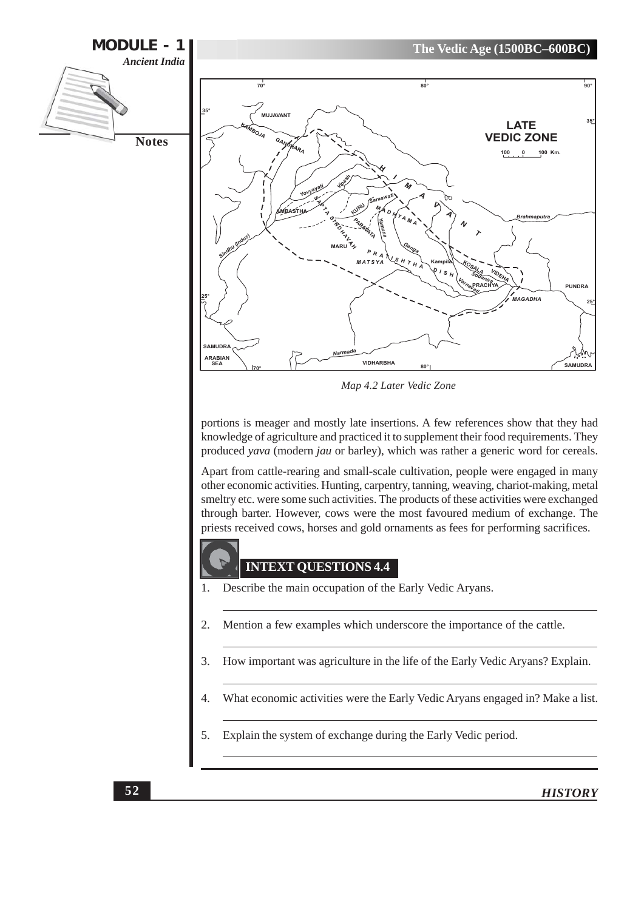![](_page_4_Figure_0.jpeg)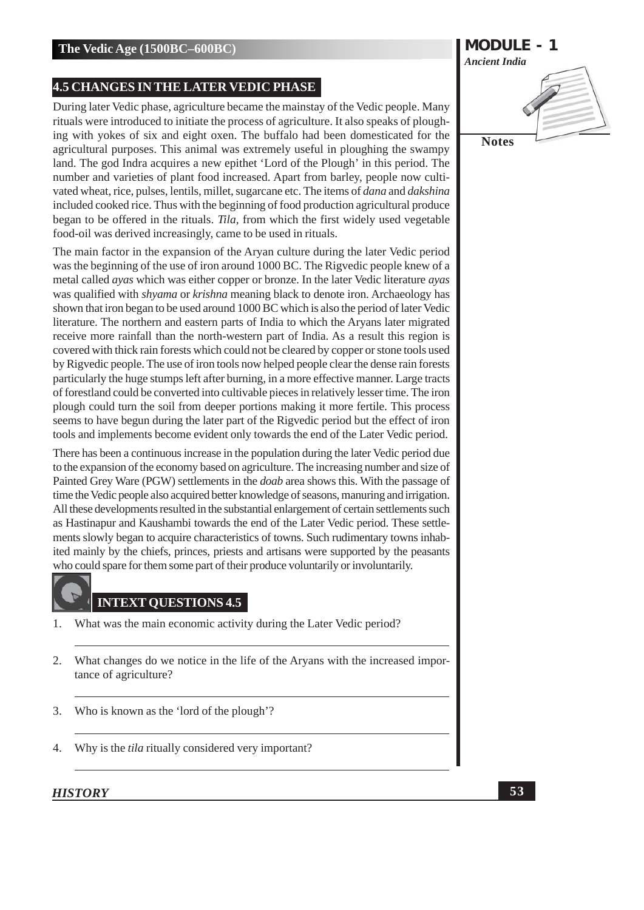#### **4.5 CHANGES IN THE LATER VEDIC PHASE**

During later Vedic phase, agriculture became the mainstay of the Vedic people. Many rituals were introduced to initiate the process of agriculture. It also speaks of ploughing with yokes of six and eight oxen. The buffalo had been domesticated for the agricultural purposes. This animal was extremely useful in ploughing the swampy land. The god Indra acquires a new epithet 'Lord of the Plough' in this period. The number and varieties of plant food increased. Apart from barley, people now cultivated wheat, rice, pulses, lentils, millet, sugarcane etc. The items of dana and dakshina included cooked rice. Thus with the beginning of food production agricultural produce began to be offered in the rituals. Tila, from which the first widely used vegetable food-oil was derived increasingly, came to be used in rituals.

The main factor in the expansion of the Aryan culture during the later Vedic period was the beginning of the use of iron around 1000 BC. The Rigvedic people knew of a metal called *ayas* which was either copper or bronze. In the later Vedic literature *ayas* was qualified with *shyama* or *krishna* meaning black to denote iron. Archaeology has shown that iron began to be used around 1000 BC which is also the period of later Vedic literature. The northern and eastern parts of India to which the Aryans later migrated receive more rainfall than the north-western part of India. As a result this region is covered with thick rain forests which could not be cleared by copper or stone tools used by Rigvedic people. The use of iron tools now helped people clear the dense rain forests particularly the huge stumps left after burning, in a more effective manner. Large tracts of forestland could be converted into cultivable pieces in relatively lesser time. The iron plough could turn the soil from deeper portions making it more fertile. This process seems to have begun during the later part of the Rigvedic period but the effect of iron tools and implements become evident only towards the end of the Later Vedic period.

There has been a continuous increase in the population during the later Vedic period due to the expansion of the economy based on agriculture. The increasing number and size of Painted Grey Ware (PGW) settlements in the *doab* area shows this. With the passage of time the Vedic people also acquired better knowledge of seasons, manuring and irrigation. All these developments resulted in the substantial enlargement of certain settlements such as Hastinapur and Kaushambi towards the end of the Later Vedic period. These settlements slowly began to acquire characteristics of towns. Such rudimentary towns inhabited mainly by the chiefs, princes, priests and artisans were supported by the peasants who could spare for them some part of their produce voluntarily or involuntarily.

# **INTEXT QUESTIONS 4.5**

- $\mathbf{1}$ . What was the main economic activity during the Later Vedic period?
- $2.$ What changes do we notice in the life of the Aryans with the increased importance of agriculture?
- 3. Who is known as the 'lord of the plough'?
- $4.$ Why is the *tila* ritually considered very important?

![](_page_5_Picture_11.jpeg)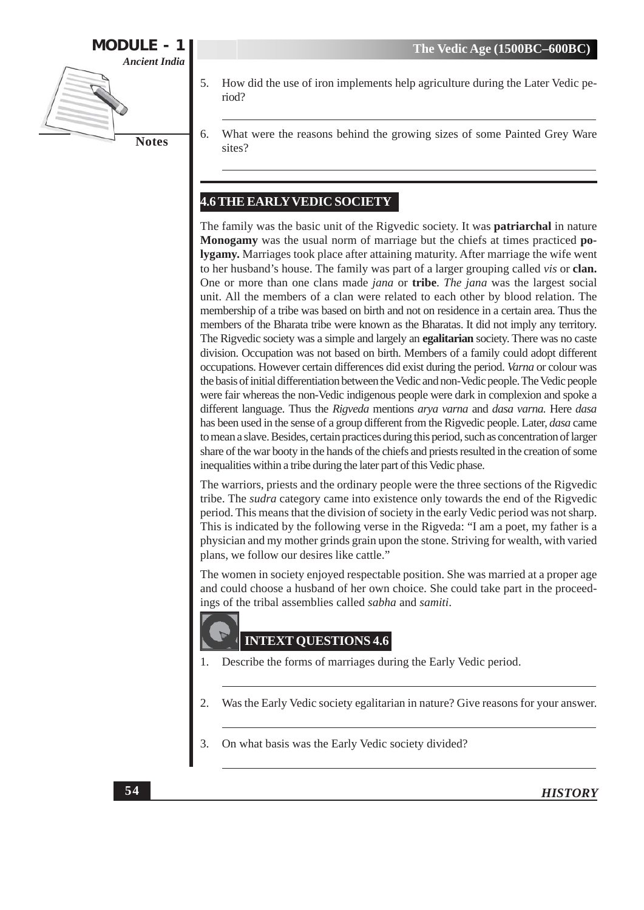![](_page_6_Figure_1.jpeg)

- How did the use of iron implements help agriculture during the Later Vedic pe-5. riod?
- What were the reasons behind the growing sizes of some Painted Grey Ware 6. sites?

# **4.6 THE EARLY VEDIC SOCIETY**

The family was the basic unit of the Rigvedic society. It was **patriarchal** in nature **Monogamy** was the usual norm of marriage but the chiefs at times practiced po**lygamy.** Marriages took place after attaining maturity. After marriage the wife went to her husband's house. The family was part of a larger grouping called vis or clan. One or more than one clans made *jana* or **tribe**. *The jana* was the largest social unit. All the members of a clan were related to each other by blood relation. The membership of a tribe was based on birth and not on residence in a certain area. Thus the members of the Bharata tribe were known as the Bharatas. It did not imply any territory. The Rigvedic society was a simple and largely an **egalitarian** society. There was no caste division. Occupation was not based on birth. Members of a family could adopt different occupations. However certain differences did exist during the period. Varna or colour was the basis of initial differentiation between the Vedic and non-Vedic people. The Vedic people were fair whereas the non-Vedic indigenous people were dark in complexion and spoke a different language. Thus the Rigveda mentions arya varna and dasa varna. Here dasa has been used in the sense of a group different from the Rigvedic people. Later, dasa came to mean a slave. Besides, certain practices during this period, such as concentration of larger share of the war booty in the hands of the chiefs and priests resulted in the creation of some inequalities within a tribe during the later part of this Vedic phase.

The warriors, priests and the ordinary people were the three sections of the Rigvedic tribe. The sudra category came into existence only towards the end of the Rigvedic period. This means that the division of society in the early Vedic period was not sharp. This is indicated by the following verse in the Rigveda: "I am a poet, my father is a physician and my mother grinds grain upon the stone. Striving for wealth, with varied plans, we follow our desires like cattle."

The women in society enjoyed respectable position. She was married at a proper age and could choose a husband of her own choice. She could take part in the proceedings of the tribal assemblies called sabha and samiti.

# **INTEXT QUESTIONS 4.6**

- Describe the forms of marriages during the Early Vedic period. 1.
- $\overline{2}$ . Was the Early Vedic society egalitarian in nature? Give reasons for your answer.
- On what basis was the Early Vedic society divided? 3.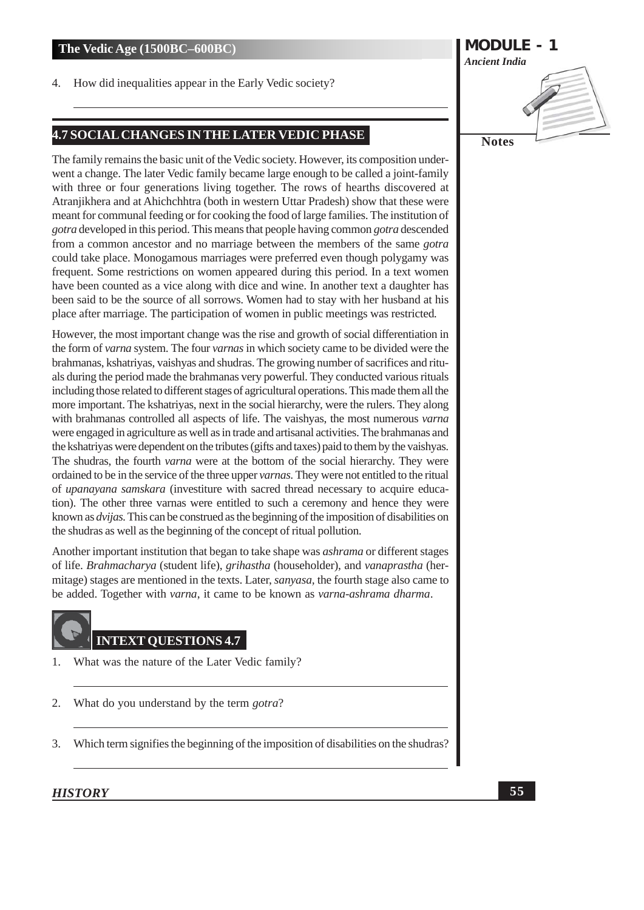How did inequalities appear in the Early Vedic society? 4.

# 4.7 SOCIAL CHANGES IN THE LATER VEDIC PHASE

The family remains the basic unit of the Vedic society. However, its composition underwent a change. The later Vedic family became large enough to be called a joint-family with three or four generations living together. The rows of hearths discovered at Atranjikhera and at Ahichchhtra (both in western Uttar Pradesh) show that these were meant for communal feeding or for cooking the food of large families. The institution of gotra developed in this period. This means that people having common gotra descended from a common ancestor and no marriage between the members of the same *gotra* could take place. Monogamous marriages were preferred even though polygamy was frequent. Some restrictions on women appeared during this period. In a text women have been counted as a vice along with dice and wine. In another text a daughter has been said to be the source of all sorrows. Women had to stay with her husband at his place after marriage. The participation of women in public meetings was restricted.

However, the most important change was the rise and growth of social differentiation in the form of varna system. The four varnas in which society came to be divided were the brahmanas, kshatriyas, vaishyas and shudras. The growing number of sacrifices and rituals during the period made the brahmanas very powerful. They conducted various rituals including those related to different stages of agricultural operations. This made them all the more important. The kshatriyas, next in the social hierarchy, were the rulers. They along with brahmanas controlled all aspects of life. The vaishyas, the most numerous varna were engaged in agriculture as well as in trade and artisanal activities. The brahmanas and the kshatriyas were dependent on the tributes (gifts and taxes) paid to them by the vaishyas. The shudras, the fourth *varna* were at the bottom of the social hierarchy. They were ordained to be in the service of the three upper varnas. They were not entitled to the ritual of *upanayana samskara* (investiture with sacred thread necessary to acquire education). The other three varnas were entitled to such a ceremony and hence they were known as *dvijas*. This can be construed as the beginning of the imposition of disabilities on the shudras as well as the beginning of the concept of ritual pollution.

Another important institution that began to take shape was *ashrama* or different stages of life. Brahmacharya (student life), grihastha (householder), and vanaprastha (hermitage) stages are mentioned in the texts. Later, sanyasa, the fourth stage also came to be added. Together with *varna*, it came to be known as *varna-ashrama dharma*.

# **INTEXT QUESTIONS 4.7**

- What was the nature of the Later Vedic family? 1.
- What do you understand by the term *gotra*?  $2.$
- Which term signifies the beginning of the imposition of disabilities on the shudras? 3.

![](_page_7_Picture_11.jpeg)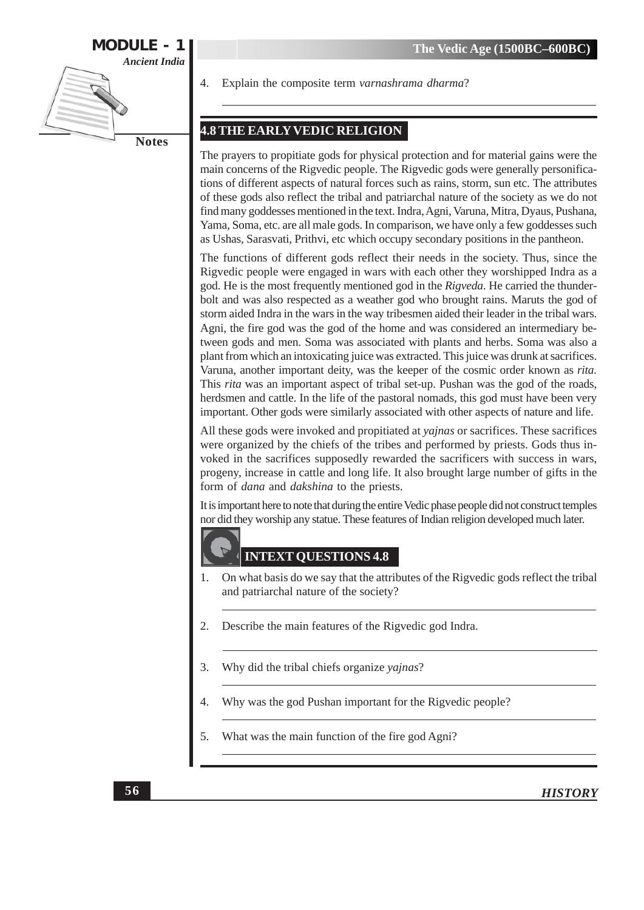![](_page_8_Figure_1.jpeg)

Explain the composite term varnashrama dharma?

# **4.8 THE EARLY VEDIC RELIGION**

The prayers to propitiate gods for physical protection and for material gains were the main concerns of the Rigvedic people. The Rigvedic gods were generally personifications of different aspects of natural forces such as rains, storm, sun etc. The attributes of these gods also reflect the tribal and patriarchal nature of the society as we do not find many goddesses mentioned in the text. Indra, Agni, Varuna, Mitra, Dyaus, Pushana, Yama, Soma, etc. are all male gods. In comparison, we have only a few goddesses such as Ushas, Sarasvati, Prithvi, etc which occupy secondary positions in the pantheon.

The functions of different gods reflect their needs in the society. Thus, since the Rigvedic people were engaged in wars with each other they worshipped Indra as a god. He is the most frequently mentioned god in the Rigveda. He carried the thunderbolt and was also respected as a weather god who brought rains. Maruts the god of storm aided Indra in the wars in the way tribesmen aided their leader in the tribal wars. Agni, the fire god was the god of the home and was considered an intermediary between gods and men. Soma was associated with plants and herbs. Soma was also a plant from which an intoxicating juice was extracted. This juice was drunk at sacrifices. Varuna, another important deity, was the keeper of the cosmic order known as rita. This rita was an important aspect of tribal set-up. Pushan was the god of the roads, herdsmen and cattle. In the life of the pastoral nomads, this god must have been very important. Other gods were similarly associated with other aspects of nature and life.

All these gods were invoked and propitiated at *yajnas* or sacrifices. These sacrifices were organized by the chiefs of the tribes and performed by priests. Gods thus invoked in the sacrifices supposedly rewarded the sacrificers with success in wars, progeny, increase in cattle and long life. It also brought large number of gifts in the form of *dana* and *dakshina* to the priests.

It is important here to note that during the entire Vedic phase people did not construct temples nor did they worship any statue. These features of Indian religion developed much later.

#### **INTEXT QUESTIONS 4.8**

- On what basis do we say that the attributes of the Rigvedic gods reflect the tribal 1. and patriarchal nature of the society?
- Describe the main features of the Rigvedic god Indra. 2.
- 3. Why did the tribal chiefs organize yajnas?
- Why was the god Pushan important for the Rigvedic people?  $\overline{\mathcal{A}}$
- 5. What was the main function of the fire god Agni?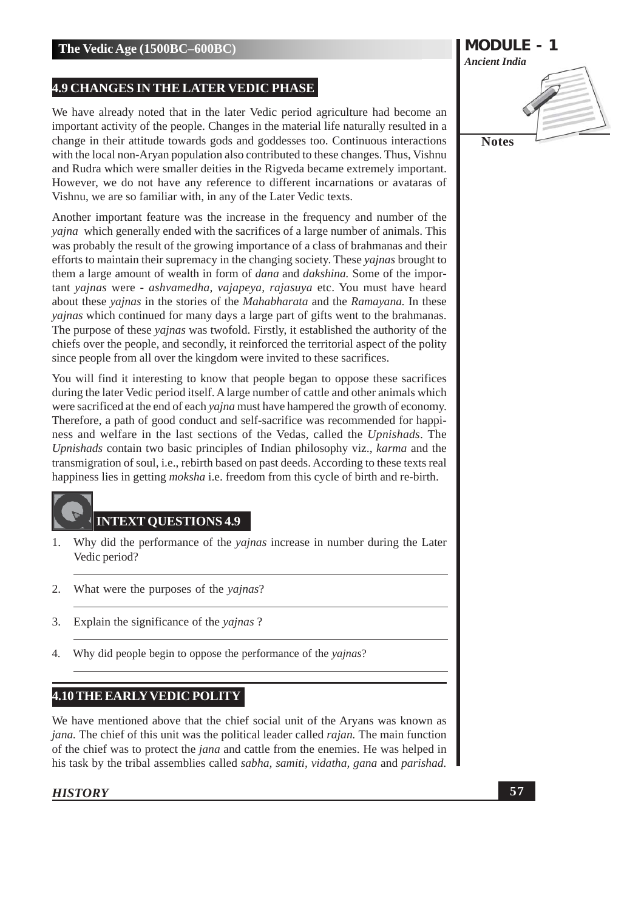#### **4.9 CHANGES IN THE LATER VEDIC PHASE**

We have already noted that in the later Vedic period agriculture had become an important activity of the people. Changes in the material life naturally resulted in a change in their attitude towards gods and goddesses too. Continuous interactions with the local non-Aryan population also contributed to these changes. Thus, Vishnu and Rudra which were smaller deities in the Rigveda became extremely important. However, we do not have any reference to different incarnations or avataras of Vishnu, we are so familiar with, in any of the Later Vedic texts.

Another important feature was the increase in the frequency and number of the *vajna* which generally ended with the sacrifices of a large number of animals. This was probably the result of the growing importance of a class of brahmanas and their efforts to maintain their supremacy in the changing society. These *yajnas* brought to them a large amount of wealth in form of *dana* and *dakshina*. Some of the important yajnas were - ashvamedha, vajapeya, rajasuya etc. You must have heard about these *yajnas* in the stories of the *Mahabharata* and the *Ramayana*. In these *vajnas* which continued for many days a large part of gifts went to the brahmanas. The purpose of these *vajnas* was twofold. Firstly, it established the authority of the chiefs over the people, and secondly, it reinforced the territorial aspect of the polity since people from all over the kingdom were invited to these sacrifices.

You will find it interesting to know that people began to oppose these sacrifices during the later Vedic period itself. A large number of cattle and other animals which were sacrificed at the end of each *vajna* must have hampered the growth of economy. Therefore, a path of good conduct and self-sacrifice was recommended for happiness and welfare in the last sections of the Vedas, called the Upnishads. The Upnishads contain two basic principles of Indian philosophy viz., karma and the transmigration of soul, i.e., rebirth based on past deeds. According to these texts real happiness lies in getting *moksha* i.e. freedom from this cycle of birth and re-birth.

#### **INTEXT QUESTIONS 4.9**

- Why did the performance of the *vajnas* increase in number during the Later  $1.$ Vedic period?
- $2.$ What were the purposes of the yajnas?
- $3.$ Explain the significance of the *vainas*?
- Why did people begin to oppose the performance of the yajnas?  $\overline{4}$ .

## **4.10 THE EARLY VEDIC POLITY**

We have mentioned above that the chief social unit of the Aryans was known as jana. The chief of this unit was the political leader called rajan. The main function of the chief was to protect the *jana* and cattle from the enemies. He was helped in his task by the tribal assemblies called *sabha*, *samiti*, *vidatha*, *gana* and *parishad*.

![](_page_9_Picture_13.jpeg)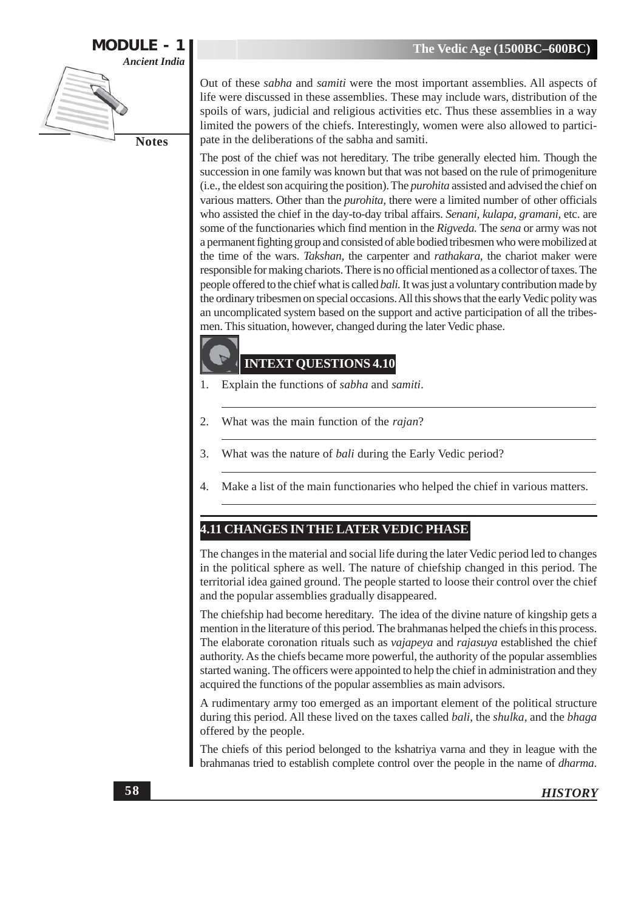![](_page_10_Figure_1.jpeg)

Out of these *sabha* and *samiti* were the most important assemblies. All aspects of life were discussed in these assemblies. These may include wars, distribution of the spoils of wars, judicial and religious activities etc. Thus these assemblies in a way limited the powers of the chiefs. Interestingly, women were also allowed to participate in the deliberations of the sabha and samiti.

The post of the chief was not hereditary. The tribe generally elected him. Though the succession in one family was known but that was not based on the rule of primogeniture (i.e., the eldest son acquiring the position). The *purohita* assisted and advised the chief on various matters. Other than the *purohita*, there were a limited number of other officials who assisted the chief in the day-to-day tribal affairs. Senani, kulapa, gramani, etc. are some of the functionaries which find mention in the Rigveda. The sena or army was not a permanent fighting group and consisted of able bodied tribesmen who were mobilized at the time of the wars. Takshan, the carpenter and *rathakara*, the chariot maker were responsible for making chariots. There is no official mentioned as a collector of taxes. The people offered to the chief what is called *bali*. It was just a voluntary contribution made by the ordinary tribesmen on special occasions. All this shows that the early Vedic polity was an uncomplicated system based on the support and active participation of all the tribesmen. This situation, however, changed during the later Vedic phase.

# **INTEXT QUESTIONS 4.10**

- Explain the functions of sabha and samiti. 1.
- 2. What was the main function of the rajan?
- What was the nature of *bali* during the Early Vedic period? 3.
- Make a list of the main functionaries who helped the chief in various matters.  $\overline{4}$

# 4.11 CHANGES IN THE LATER VEDIC PHASE

The changes in the material and social life during the later Vedic period led to changes in the political sphere as well. The nature of chiefship changed in this period. The territorial idea gained ground. The people started to loose their control over the chief and the popular assemblies gradually disappeared.

The chiefship had become hereditary. The idea of the divine nature of kingship gets a mention in the literature of this period. The brahmanas helped the chiefs in this process. The elaborate coronation rituals such as vajapeya and rajasuya established the chief authority. As the chiefs became more powerful, the authority of the popular assemblies started waning. The officers were appointed to help the chief in administration and they acquired the functions of the popular assemblies as main advisors.

A rudimentary army too emerged as an important element of the political structure during this period. All these lived on the taxes called *bali*, the *shulka*, and the *bhaga* offered by the people.

The chiefs of this period belonged to the kshatriya varna and they in league with the brahmanas tried to establish complete control over the people in the name of *dharma*.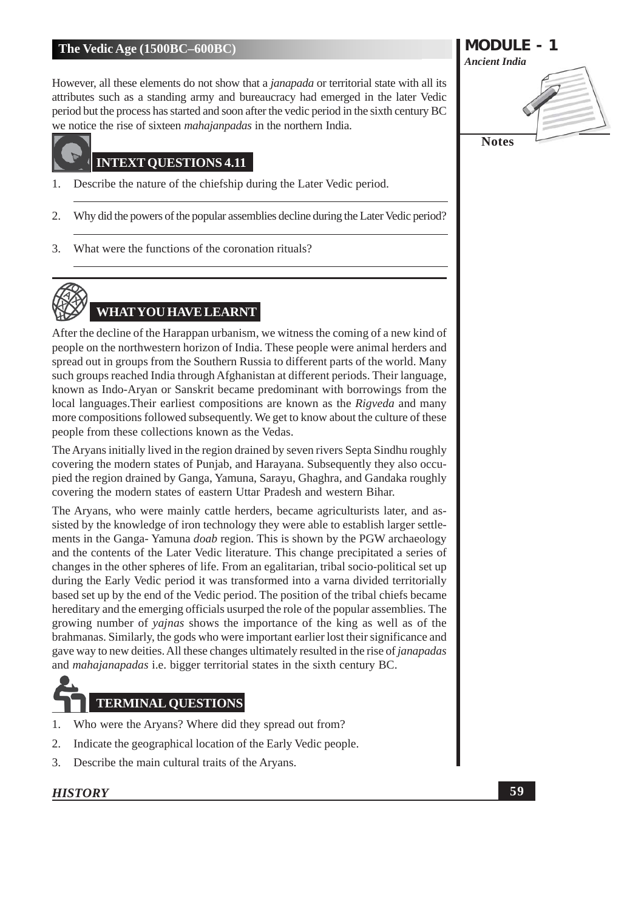However, all these elements do not show that a janapada or territorial state with all its attributes such as a standing army and bureaucracy had emerged in the later Vedic period but the process has started and soon after the vedic period in the sixth century BC we notice the rise of sixteen *mahajanpadas* in the northern India.

# **INTEXT OUESTIONS 4.11**

- Describe the nature of the chiefship during the Later Vedic period. 1.
- Why did the powers of the popular assemblies decline during the Later Vedic period? 2.
- What were the functions of the coronation rituals? 3.

# **WHAT YOU HAVE LEARNT**

After the decline of the Harappan urbanism, we witness the coming of a new kind of people on the northwestern horizon of India. These people were animal herders and spread out in groups from the Southern Russia to different parts of the world. Many such groups reached India through Afghanistan at different periods. Their language, known as Indo-Aryan or Sanskrit became predominant with borrowings from the local languages. Their earliest compositions are known as the Rigveda and many more compositions followed subsequently. We get to know about the culture of these people from these collections known as the Vedas.

The Aryans initially lived in the region drained by seven rivers Septa Sindhu roughly covering the modern states of Punjab, and Harayana. Subsequently they also occupied the region drained by Ganga, Yamuna, Sarayu, Ghaghra, and Gandaka roughly covering the modern states of eastern Uttar Pradesh and western Bihar.

The Aryans, who were mainly cattle herders, became agriculturists later, and assisted by the knowledge of iron technology they were able to establish larger settlements in the Ganga-Yamuna *doab* region. This is shown by the PGW archaeology and the contents of the Later Vedic literature. This change precipitated a series of changes in the other spheres of life. From an egalitarian, tribal socio-political set up during the Early Vedic period it was transformed into a varna divided territorially based set up by the end of the Vedic period. The position of the tribal chiefs became hereditary and the emerging officials usurped the role of the popular assemblies. The growing number of *vajnas* shows the importance of the king as well as of the brahmanas. Similarly, the gods who were important earlier lost their significance and gave way to new deities. All these changes ultimately resulted in the rise of *janapadas* and *mahajanapadas* i.e. bigger territorial states in the sixth century BC.

# **TERMINAL QUESTIONS**

- 1. Who were the Aryans? Where did they spread out from?
- $\overline{2}$ . Indicate the geographical location of the Early Vedic people.
- Describe the main cultural traits of the Aryans. 3.

# **HISTORY**

**MODULE - 1 Ancient India Notes**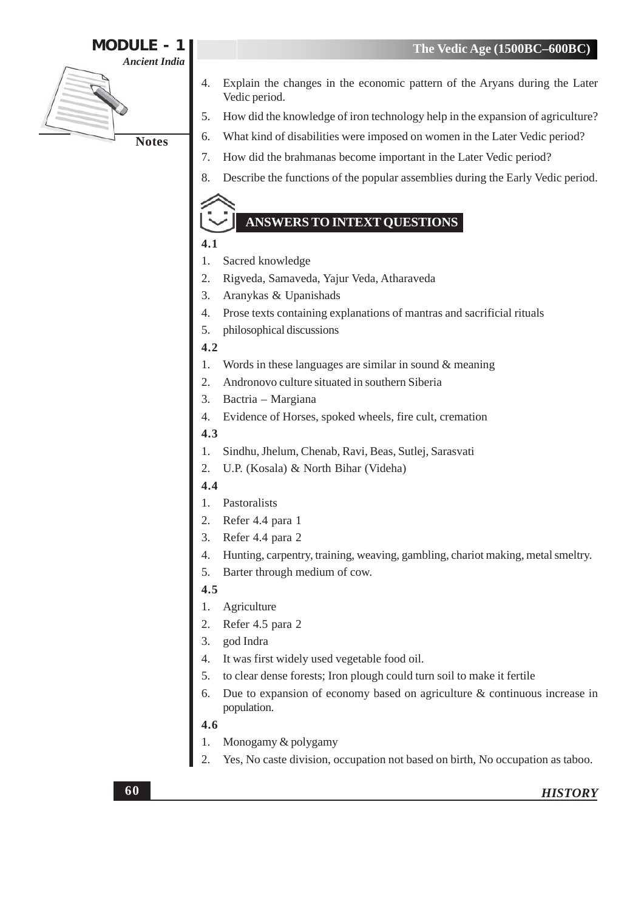# **MODULE - 1**

**Ancient India** 

**Notes** 

- Explain the changes in the economic pattern of the Aryans during the Later  $\overline{4}$ . Vedic period.
	- How did the knowledge of iron technology help in the expansion of agriculture?  $5<sub>1</sub>$
	- What kind of disabilities were imposed on women in the Later Vedic period? 6.
	- 7. How did the brahmanas become important in the Later Vedic period?
	- Describe the functions of the popular assemblies during the Early Vedic period. 8.

# **ANSWERS TO INTEXT OUESTIONS**

- $4.1$
- $1.$ Sacred knowledge
- $\overline{2}$ . Rigveda, Samaveda, Yajur Veda, Atharaveda
- 3. Aranykas & Upanishads
- $\overline{4}$ . Prose texts containing explanations of mantras and sacrificial rituals
- philosophical discussions  $\overline{5}$ .

#### $4.2$

- $\mathbf{1}$ . Words in these languages are similar in sound  $\&$  meaning
- $\overline{2}$ . Andronovo culture situated in southern Siberia
- $3.$ Bactria - Margiana
- Evidence of Horses, spoked wheels, fire cult, cremation 4.
- $4.3$
- Sindhu, Jhelum, Chenab, Ravi, Beas, Sutlej, Sarasvati 1.
- U.P. (Kosala) & North Bihar (Videha)  $\overline{2}$ .

#### $4.4$

- Pastoralists 1.
- Refer 4.4 para 1  $2.$
- $3.$ Refer 4.4 para 2
- $\overline{4}$ . Hunting, carpentry, training, weaving, gambling, chariot making, metal smeltry.
- Barter through medium of cow. 5.

# $4.5$

- $1.$ Agriculture
- $\overline{2}$ . Refer 4.5 para 2
- $3.$ god Indra
- $\overline{4}$ It was first widely used vegetable food oil.
- to clear dense forests; Iron plough could turn soil to make it fertile  $5<sub>1</sub>$
- Due to expansion of economy based on agriculture  $\&$  continuous increase in 6. population.

#### 4.6

- Monogamy & polygamy 1.
- Yes, No caste division, occupation not based on birth, No occupation as taboo. 2.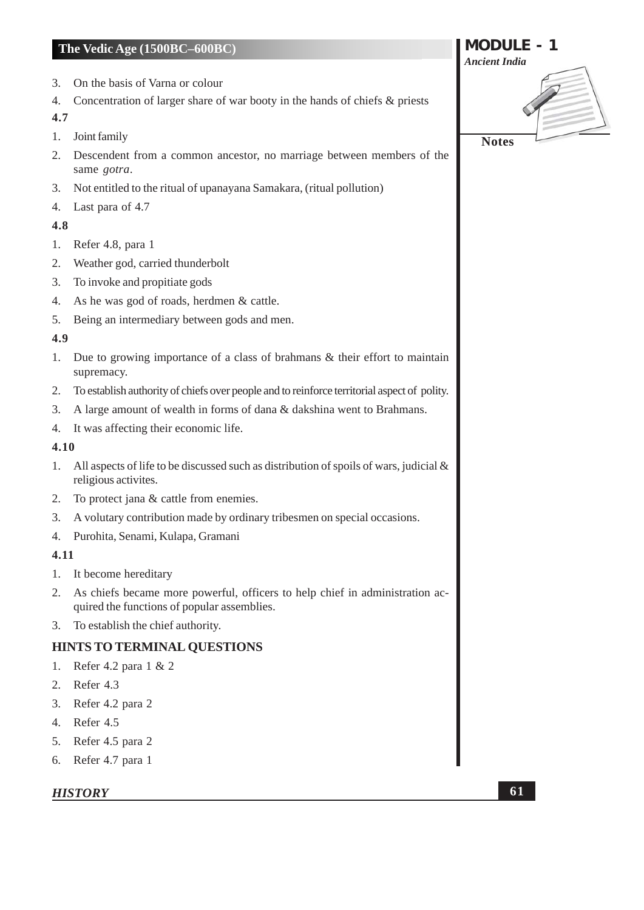- On the basis of Varna or colour  $3.$
- Concentration of larger share of war booty in the hands of chiefs & priests  $4.$

#### 4.7

- Joint family  $1.$
- Descendent from a common ancestor, no marriage between members of the 2. same gotra.
- 3. Not entitled to the ritual of upanayana Samakara, (ritual pollution)
- 4. Last para of 4.7

#### 4.8

- 1. Refer 4.8, para 1
- Weather god, carried thunderbolt  $2.$
- $3<sub>1</sub>$ To invoke and propitiate gods
- As he was god of roads, herdmen & cattle. 4.
- Being an intermediary between gods and men. 5.

#### 4.9

- Due to growing importance of a class of brahmans  $\&$  their effort to maintain  $1.$ supremacy.
- $2.$ To establish authority of chiefs over people and to reinforce territorial aspect of polity.
- $\mathfrak{Z}$ . A large amount of wealth in forms of dana & dakshina went to Brahmans.
- It was affecting their economic life. 4.

#### 4.10

- $1.$ All aspects of life to be discussed such as distribution of spoils of wars, judicial  $\&$ religious activites.
- To protect jana & cattle from enemies.  $2.$
- A volutary contribution made by ordinary tribesmen on special occasions.  $3.$
- Purohita, Senami, Kulapa, Gramani  $4.$

#### 4.11

- 1. It become hereditary
- As chiefs became more powerful, officers to help chief in administration ac- $2.$ quired the functions of popular assemblies.
- 3. To establish the chief authority.

# **HINTS TO TERMINAL QUESTIONS**

- 1. Refer 4.2 para  $1 \& 2$
- 2. Refer 4.3
- 3. Refer 4.2 para 2
- 4. Refer 4.5
- 5. Refer 4.5 para 2
- 6. Refer 4.7 para 1

# **HISTORY**

**MODULE - 1 Ancient India Notes**